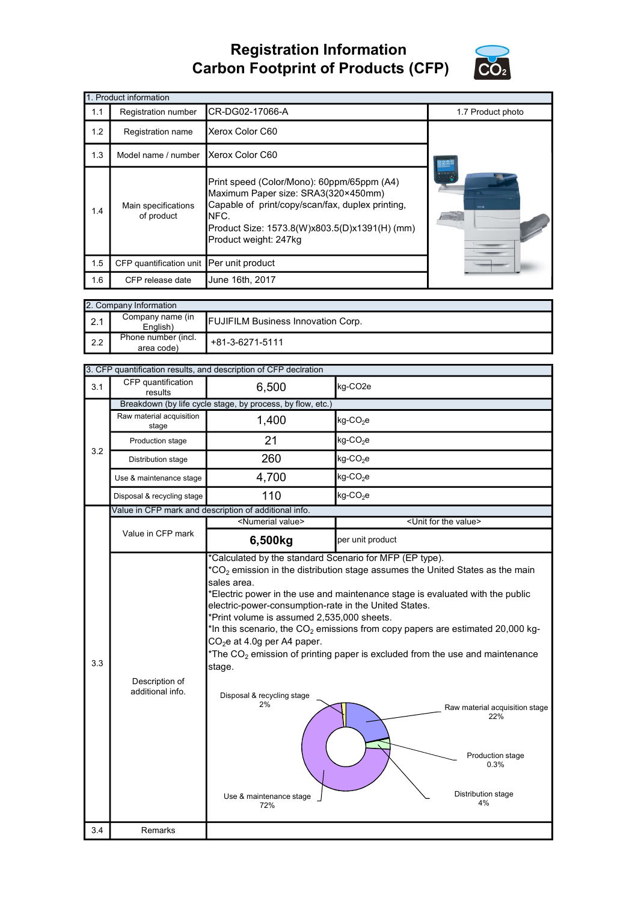## Registration Information Carbon Footprint of Products (CFP)



|     | 1. Product information                   |                                                                                                                                                                                                                         |                   |  |  |
|-----|------------------------------------------|-------------------------------------------------------------------------------------------------------------------------------------------------------------------------------------------------------------------------|-------------------|--|--|
| 1.1 | Registration number                      | CR-DG02-17066-A                                                                                                                                                                                                         | 1.7 Product photo |  |  |
| 1.2 | Registration name                        | Xerox Color C60                                                                                                                                                                                                         |                   |  |  |
| 1.3 | Model name / number                      | Xerox Color C60                                                                                                                                                                                                         |                   |  |  |
| 1.4 | Main specifications<br>of product        | Print speed (Color/Mono): 60ppm/65ppm (A4)<br>Maximum Paper size: SRA3(320×450mm)<br>Capable of print/copy/scan/fax, duplex printing,<br>NFC.<br>Product Size: 1573.8(W)x803.5(D)x1391(H) (mm)<br>Product weight: 247kg | <b>Director</b>   |  |  |
| 1.5 | CFP quantification unit Per unit product |                                                                                                                                                                                                                         |                   |  |  |
| 1.6 | CFP release date                         | June 16th, 2017                                                                                                                                                                                                         |                   |  |  |

|                  | 2. Company Information            |                                           |  |  |  |
|------------------|-----------------------------------|-------------------------------------------|--|--|--|
| $\vert$ 2.1      | Company name (in<br>English)      | <b>FUJIFILM Business Innovation Corp.</b> |  |  |  |
| $\mathsf{I}$ 2.2 | Phone number (incl.<br>area code) | +81-3-6271-5111                           |  |  |  |

|     |                                                            | 3. CFP quantification results, and description of CFP declration                                                                                                                                                                                                                                                                                                                                                                                                                                                                                                                                                                                                                                                                      |                                      |  |  |  |  |
|-----|------------------------------------------------------------|---------------------------------------------------------------------------------------------------------------------------------------------------------------------------------------------------------------------------------------------------------------------------------------------------------------------------------------------------------------------------------------------------------------------------------------------------------------------------------------------------------------------------------------------------------------------------------------------------------------------------------------------------------------------------------------------------------------------------------------|--------------------------------------|--|--|--|--|
| 3.1 | CFP quantification<br>results                              | 6,500                                                                                                                                                                                                                                                                                                                                                                                                                                                                                                                                                                                                                                                                                                                                 | kg-CO <sub>2e</sub>                  |  |  |  |  |
|     | Breakdown (by life cycle stage, by process, by flow, etc.) |                                                                                                                                                                                                                                                                                                                                                                                                                                                                                                                                                                                                                                                                                                                                       |                                      |  |  |  |  |
| 3.2 | Raw material acquisition<br>stage                          | 1,400                                                                                                                                                                                                                                                                                                                                                                                                                                                                                                                                                                                                                                                                                                                                 | kg-CO <sub>2</sub> e                 |  |  |  |  |
|     | Production stage                                           | 21                                                                                                                                                                                                                                                                                                                                                                                                                                                                                                                                                                                                                                                                                                                                    | $kg$ -CO <sub>2</sub> e              |  |  |  |  |
|     | Distribution stage                                         | 260                                                                                                                                                                                                                                                                                                                                                                                                                                                                                                                                                                                                                                                                                                                                   | kg-CO <sub>2</sub> e                 |  |  |  |  |
|     | Use & maintenance stage                                    | 4,700                                                                                                                                                                                                                                                                                                                                                                                                                                                                                                                                                                                                                                                                                                                                 | $kg$ -CO <sub>2</sub> e              |  |  |  |  |
|     | Disposal & recycling stage                                 | 110                                                                                                                                                                                                                                                                                                                                                                                                                                                                                                                                                                                                                                                                                                                                   | $kg$ -CO <sub>2</sub> e              |  |  |  |  |
|     | Value in CFP mark and description of additional info.      |                                                                                                                                                                                                                                                                                                                                                                                                                                                                                                                                                                                                                                                                                                                                       |                                      |  |  |  |  |
|     |                                                            | <numerial value=""></numerial>                                                                                                                                                                                                                                                                                                                                                                                                                                                                                                                                                                                                                                                                                                        | <unit for="" the="" value=""></unit> |  |  |  |  |
|     | Value in CFP mark                                          | 6,500kg                                                                                                                                                                                                                                                                                                                                                                                                                                                                                                                                                                                                                                                                                                                               | per unit product                     |  |  |  |  |
| 3.3 | Description of<br>additional info.                         | *Calculated by the standard Scenario for MFP (EP type).<br>$CO2$ emission in the distribution stage assumes the United States as the main<br>sales area.<br>Electric power in the use and maintenance stage is evaluated with the public<br>electric-power-consumption-rate in the United States.<br>'Print volume is assumed 2,535,000 sheets.<br>In this scenario, the $CO2$ emissions from copy papers are estimated 20,000 kg-<br>$CO2e$ at 4.0g per A4 paper.<br>*The $CO2$ emission of printing paper is excluded from the use and maintenance<br>stage.<br>Disposal & recycling stage<br>2%<br>Raw material acquisition stage<br>22%<br>Production stage<br>0.3%<br>Distribution stage<br>Use & maintenance stage<br>4%<br>72% |                                      |  |  |  |  |
| 3.4 | Remarks                                                    |                                                                                                                                                                                                                                                                                                                                                                                                                                                                                                                                                                                                                                                                                                                                       |                                      |  |  |  |  |